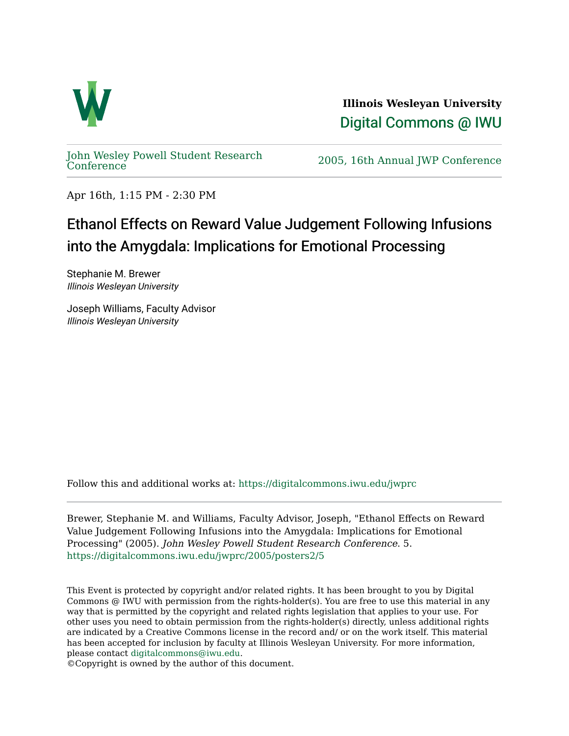

**Illinois Wesleyan University**  [Digital Commons @ IWU](https://digitalcommons.iwu.edu/) 

[John Wesley Powell Student Research](https://digitalcommons.iwu.edu/jwprc) 

2005, 16th Annual JWP [Conference](https://digitalcommons.iwu.edu/jwprc)

Apr 16th, 1:15 PM - 2:30 PM

## Ethanol Effects on Reward Value Judgement Following Infusions into the Amygdala: Implications for Emotional Processing

Stephanie M. Brewer Illinois Wesleyan University

Joseph Williams, Faculty Advisor Illinois Wesleyan University

Follow this and additional works at: [https://digitalcommons.iwu.edu/jwprc](https://digitalcommons.iwu.edu/jwprc?utm_source=digitalcommons.iwu.edu%2Fjwprc%2F2005%2Fposters2%2F5&utm_medium=PDF&utm_campaign=PDFCoverPages) 

Brewer, Stephanie M. and Williams, Faculty Advisor, Joseph, "Ethanol Effects on Reward Value Judgement Following Infusions into the Amygdala: Implications for Emotional Processing" (2005). John Wesley Powell Student Research Conference. 5. [https://digitalcommons.iwu.edu/jwprc/2005/posters2/5](https://digitalcommons.iwu.edu/jwprc/2005/posters2/5?utm_source=digitalcommons.iwu.edu%2Fjwprc%2F2005%2Fposters2%2F5&utm_medium=PDF&utm_campaign=PDFCoverPages)

This Event is protected by copyright and/or related rights. It has been brought to you by Digital Commons @ IWU with permission from the rights-holder(s). You are free to use this material in any way that is permitted by the copyright and related rights legislation that applies to your use. For other uses you need to obtain permission from the rights-holder(s) directly, unless additional rights are indicated by a Creative Commons license in the record and/ or on the work itself. This material has been accepted for inclusion by faculty at Illinois Wesleyan University. For more information, please contact [digitalcommons@iwu.edu.](mailto:digitalcommons@iwu.edu)

©Copyright is owned by the author of this document.